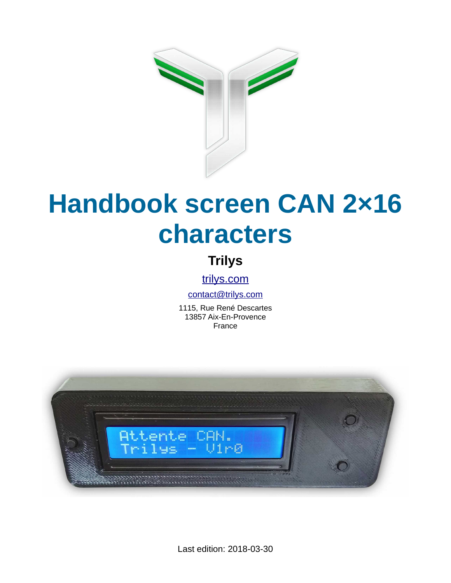

# **Handbook screen CAN 2×16 characters**

# **Trilys**

[trilys.com](https://trilys.com/)

[contact@trilys.com](mailto:contact@trilys.com)

1115, Rue René Descartes 13857 Aix-En-Provence France

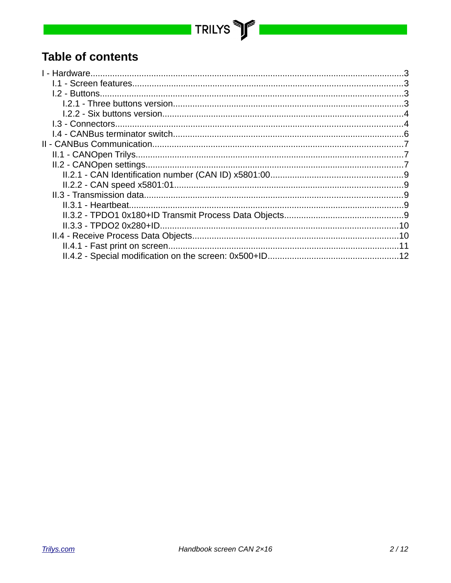# TRILYS **T**

# **Table of contents**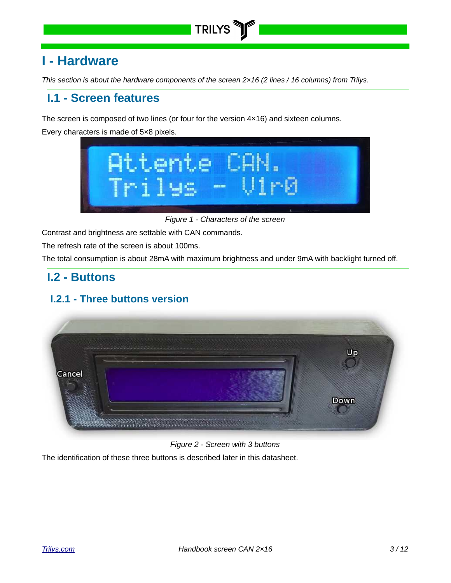# **TRILYS**

# <span id="page-2-3"></span>**I - Hardware**

*This section is about the hardware components of the screen 2×16 (2 lines / 16 columns) from Trilys.*

# <span id="page-2-2"></span>**I.1 - Screen features**

The screen is composed of two lines (or four for the version 4×16) and sixteen columns.

Every characters is made of 5×8 pixels.



*Figure 1 - Characters of the screen*

Contrast and brightness are settable with CAN commands.

The refresh rate of the screen is about 100ms.

The total consumption is about 28mA with maximum brightness and under 9mA with backlight turned off.

### <span id="page-2-1"></span>**I.2 - Buttons**

#### <span id="page-2-0"></span>**I.2.1 - Three buttons version**





The identification of these three buttons is described later in this datasheet.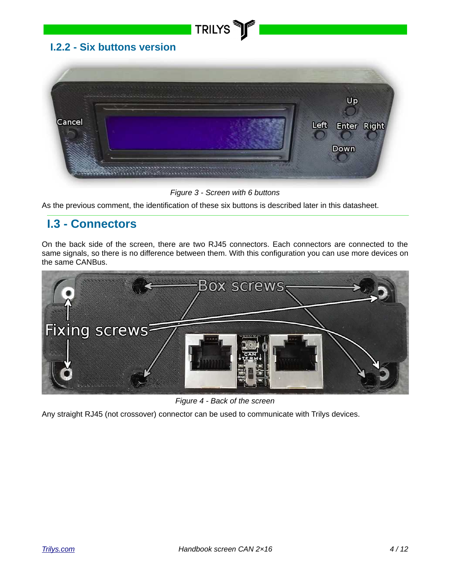### <span id="page-3-1"></span>**I.2.2 - Six buttons version**



**TRILYS** 

*Figure 3 - Screen with 6 buttons*

As the previous comment, the identification of these six buttons is described later in this datasheet.

# <span id="page-3-0"></span>**I.3 - Connectors**

On the back side of the screen, there are two RJ45 connectors. Each connectors are connected to the same signals, so there is no difference between them. With this configuration you can use more devices on the same CANBus.



*Figure 4 - Back of the screen*

Any straight RJ45 (not crossover) connector can be used to communicate with Trilys devices.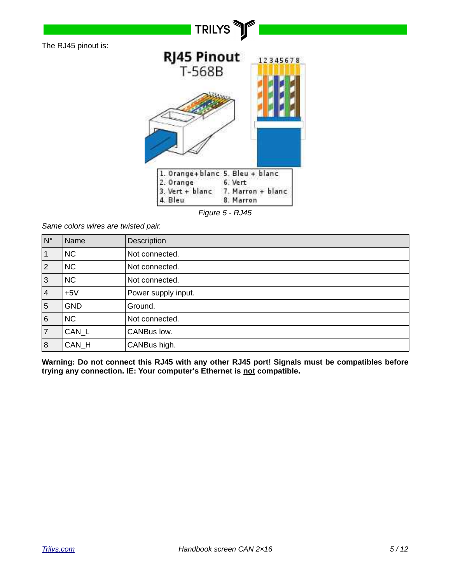

*Figure 5 - RJ45*

*Same colors wires are twisted pair.*

| $\overline{\mathsf{N}^{\circ}}$ | Name             | Description         |
|---------------------------------|------------------|---------------------|
| $\vert$ 1                       | <b>NC</b>        | Not connected.      |
| $ 2\rangle$                     | <b>NC</b>        | Not connected.      |
| 3                               | <b>NC</b>        | Not connected.      |
| 4                               | $+5V$            | Power supply input. |
| 5                               | <b>GND</b>       | Ground.             |
| 6                               | <b>NC</b>        | Not connected.      |
| 7                               | CAN <sub>L</sub> | CANBus low.         |
| 8                               | CAN H            | CANBus high.        |

**Warning: Do not connect this RJ45 with any other RJ45 port! Signals must be compatibles before trying any connection. IE: Your computer's Ethernet is not compatible.**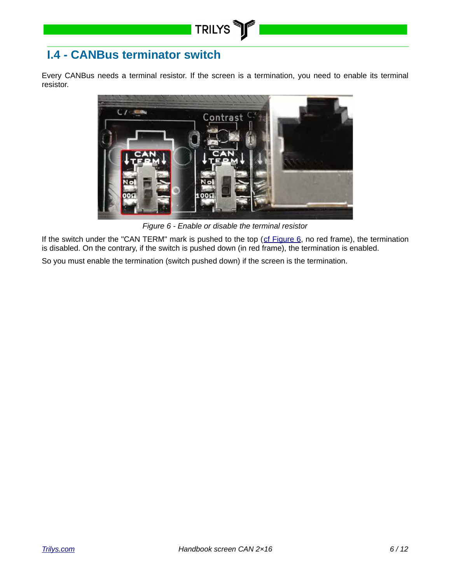# <span id="page-5-0"></span>**I.4 - CANBus terminator switch**

Every CANBus needs a terminal resistor. If the screen is a termination, you need to enable its terminal resistor.

**TRILYS** 

<span id="page-5-1"></span>

*Figure 6 - Enable or disable the terminal resistor*

If the switch under the "CAN TERM" mark is pushed to the top ( $cf$  Figure  $6$ , no red frame), the termination is disabled. On the contrary, if the switch is pushed down (in red frame), the termination is enabled.

So you must enable the termination (switch pushed down) if the screen is the termination.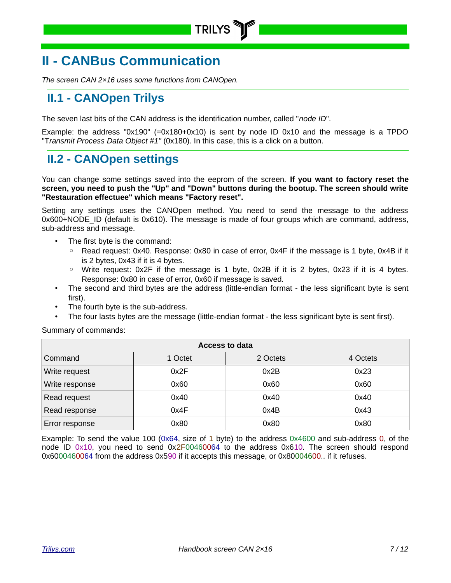# <span id="page-6-2"></span>**II - CANBus Communication**

*The screen CAN 2×16 uses some functions from CANOpen.*

# <span id="page-6-1"></span>**II.1 - CANOpen Trilys**

The seven last bits of the CAN address is the identification number, called "*node ID*".

Example: the address "0x190" (=0x180+0x10) is sent by node ID 0x10 and the message is a TPDO "T*ransmit Process Data Object #1"* (0x180). In this case, this is a click on a button.

# <span id="page-6-0"></span>**II.2 - CANOpen settings**

You can change some settings saved into the eeprom of the screen. **If you want to factory reset the screen, you need to push the "Up" and "Down" buttons during the bootup. The screen should write "Restauration effectuee" which means "Factory reset".**

Setting any settings uses the CANOpen method. You need to send the message to the address 0x600+NODE ID (default is 0x610). The message is made of four groups which are command, address, sub-address and message.

- The first byte is the command:
	- Read request: 0x40. Response: 0x80 in case of error, 0x4F if the message is 1 byte, 0x4B if it is 2 bytes, 0x43 if it is 4 bytes.
	- Write request: 0x2F if the message is 1 byte, 0x2B if it is 2 bytes, 0x23 if it is 4 bytes. Response: 0x80 in case of error, 0x60 if message is saved.
- The second and third bytes are the address (little-endian format the less significant byte is sent first).
- The fourth byte is the sub-address.
- The four lasts bytes are the message (little-endian format the less significant byte is sent first).

Summary of commands:

| <b>Access to data</b> |         |          |          |  |  |
|-----------------------|---------|----------|----------|--|--|
| Command               | 1 Octet | 2 Octets | 4 Octets |  |  |
| Write request         | 0x2F    | 0x2B     | 0x23     |  |  |
| Write response        | 0x60    | 0x60     | 0x60     |  |  |
| Read request          | 0x40    | 0x40     | 0x40     |  |  |
| Read response         | 0x4F    | 0x4B     | 0x43     |  |  |
| Error response        | 0x80    | 0x80     | 0x80     |  |  |

Example: To send the value 100 (0x64, size of 1 byte) to the address 0x4600 and sub-address 0, of the node ID  $0x10$ , you need to send  $0x2F00460064$  to the address  $0x610$ . The screen should respond 0x6000460064 from the address 0x590 if it accepts this message, or 0x80004600.. if it refuses.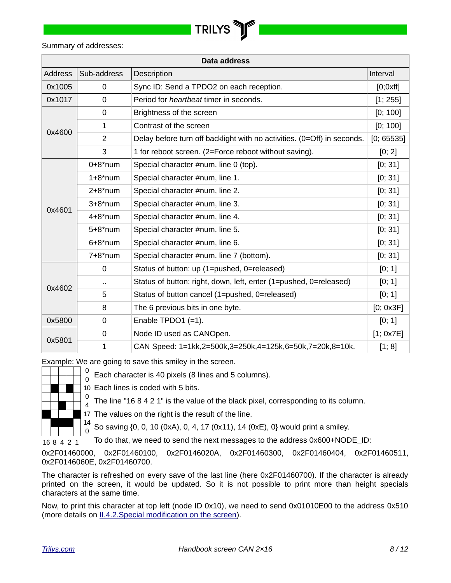# <span id="page-7-0"></span>**TRILYS**

#### Summary of addresses:

| <b>Data address</b> |                |                                                                         |            |  |  |  |
|---------------------|----------------|-------------------------------------------------------------------------|------------|--|--|--|
| <b>Address</b>      | Sub-address    | Description                                                             | Interval   |  |  |  |
| 0x1005              | 0              | Sync ID: Send a TPDO2 on each reception.                                | [0;0xff]   |  |  |  |
| 0x1017              | 0              | Period for <i>heartbeat</i> timer in seconds.                           | [1; 255]   |  |  |  |
|                     | $\mathbf 0$    | Brightness of the screen                                                | [0; 100]   |  |  |  |
|                     | $\mathbf{1}$   | Contrast of the screen                                                  | [0; 100]   |  |  |  |
| 0x4600              | $\overline{2}$ | Delay before turn off backlight with no activities. (0=Off) in seconds. | [0; 65535] |  |  |  |
|                     | 3              | 1 for reboot screen. (2=Force reboot without saving).                   | [0; 2]     |  |  |  |
|                     | $0+8*$ num     | Special character #num, line 0 (top).                                   | [0; 31]    |  |  |  |
|                     | $1+8*$ num     | Special character #num, line 1.                                         | [0; 31]    |  |  |  |
| 0x4601              | $2+8*$ num     | Special character #num, line 2.                                         | [0; 31]    |  |  |  |
|                     | $3+8*$ num     | Special character #num, line 3.                                         | [0; 31]    |  |  |  |
|                     | $4+8*$ num     | Special character #num, line 4.                                         | [0; 31]    |  |  |  |
|                     | $5+8*$ num     | Special character #num, line 5.                                         | [0; 31]    |  |  |  |
|                     | $6+8*$ num     | Special character #num, line 6.                                         | [0; 31]    |  |  |  |
|                     | $7+8*$ num     | Special character #num, line 7 (bottom).                                | [0; 31]    |  |  |  |
|                     | $\mathbf 0$    | Status of button: up (1=pushed, 0=released)                             | [0; 1]     |  |  |  |
| 0x4602              |                | Status of button: right, down, left, enter (1=pushed, 0=released)       | [0; 1]     |  |  |  |
|                     | 5              | Status of button cancel (1=pushed, 0=released)                          | [0; 1]     |  |  |  |
|                     | 8              | The 6 previous bits in one byte.                                        | [0; 0x3F]  |  |  |  |
| 0x5800              | $\overline{0}$ | Enable TPDO1 (=1).                                                      | [0; 1]     |  |  |  |
|                     | $\overline{0}$ | Node ID used as CANOpen.                                                | [1; 0x7E]  |  |  |  |
| 0x5801              | 1              | CAN Speed: 1=1kk,2=500k,3=250k,4=125k,6=50k,7=20k,8=10k.                | [1; 8]     |  |  |  |

Example: We are going to save this smiley in the screen.

Each character is 40 pixels (8 lines and 5 columns). 0



10 Each lines is coded with 5 bits.

The line "16 8 4 2 1" is the value of the black pixel, corresponding to its column.

17 The values on the right is the result of the line.

So saving {0, 0, 10 (0xA), 0, 4, 17 (0x11), 14 (0xE), 0} would print a smiley.

To do that, we need to send the next messages to the address 0x600+NODE\_ID:

0x2F01460000, 0x2F01460100, 0x2F0146020A, 0x2F01460300, 0x2F01460404, 0x2F01460511, 0x2F0146060E, 0x2F01460700.

The character is refreshed on every save of the last line (here 0x2F01460700). If the character is already printed on the screen, it would be updated. So it is not possible to print more than height specials characters at the same time.

Now, to print this character at top left (node ID 0x10), we need to send 0x01010E00 to the address 0x510 (more details on II.4.2. Special modification on the screen).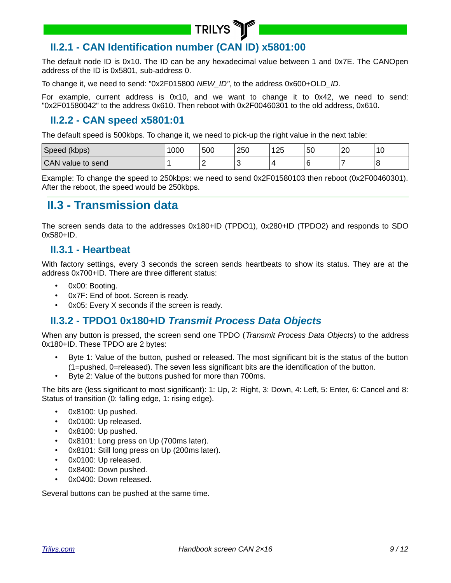

# <span id="page-8-4"></span>**II.2.1 - CAN Identification number (CAN ID) x5801:00**

The default node ID is 0x10. The ID can be any hexadecimal value between 1 and 0x7E. The CANOpen address of the ID is 0x5801, sub-address 0.

To change it, we need to send: "0x2F015800 *NEW\_ID"*, to the address 0x600+OLD*\_ID*.

For example, current address is 0x10, and we want to change it to 0x42, we need to send: "0x2F01580042" to the address 0x610. Then reboot with 0x2F00460301 to the old address, 0x610.

#### <span id="page-8-3"></span>**II.2.2 - CAN speed x5801:01**

The default speed is 500kbps. To change it, we need to pick-up the right value in the next table:

| (kbps)<br>Speed             | 1000 | 500 | 250 | 10E<br>⊥∠J | 50     | or.<br>∠∪ | 10<br>τn |
|-----------------------------|------|-----|-----|------------|--------|-----------|----------|
| <b>CAN</b><br>value to send |      | -   | w   |            | {<br>U |           |          |

Example: To change the speed to 250kbps: we need to send 0x2F01580103 then reboot (0x2F00460301). After the reboot, the speed would be 250kbps.

### <span id="page-8-2"></span>**II.3 - Transmission data**

The screen sends data to the addresses 0x180+ID (TPDO1), 0x280+ID (TPDO2) and responds to SDO 0x580+ID.

#### <span id="page-8-1"></span>**II.3.1 - Heartbeat**

With factory settings, every 3 seconds the screen sends heartbeats to show its status. They are at the address 0x700+ID. There are three different status:

- 0x00: Booting.
- 0x7F: End of boot. Screen is ready.
- <span id="page-8-0"></span>0x05: Every X seconds if the screen is ready.

#### **II.3.2 - TPDO1 0x180+ID** *Transmit Process Data Objects*

When any button is pressed, the screen send one TPDO (*Transmit Process Data Objects*) to the address 0x180+ID. These TPDO are 2 bytes:

- Byte 1: Value of the button, pushed or released. The most significant bit is the status of the button (1=pushed, 0=released). The seven less significant bits are the identification of the button.
- Byte 2: Value of the buttons pushed for more than 700ms.

The bits are (less significant to most significant): 1: Up, 2: Right, 3: Down, 4: Left, 5: Enter, 6: Cancel and 8: Status of transition (0: falling edge, 1: rising edge).

- 0x8100: Up pushed.
- 0x0100: Up released.
- 0x8100: Up pushed.
- 0x8101: Long press on Up (700ms later).
- 0x8101: Still long press on Up (200ms later).
- 0x0100: Up released.
- 0x8400: Down pushed.
- 0x0400: Down released.

Several buttons can be pushed at the same time.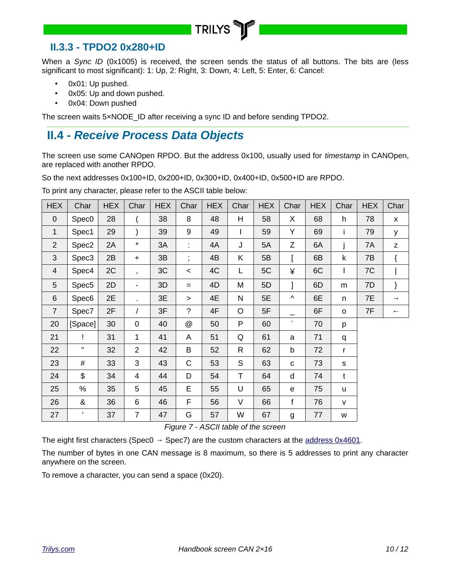#### <span id="page-9-1"></span>II.3.3 - TPDO2 0x280+ID

When a Sync ID (0x1005) is received, the screen sends the status of all buttons. The bits are (less significant to most significant): 1: Up, 2: Right, 3: Down, 4: Left, 5: Enter, 6: Cancel:

**TRILYS** 

- $\bullet$ 0x01: Up pushed.
- 0x05: Up and down pushed.
- $\bullet$ 0x04: Down pushed

The screen waits 5×NODE\_ID after receiving a sync ID and before sending TPDO2.

### <span id="page-9-0"></span>**II.4 - Receive Process Data Objects**

The screen use some CANOpen RPDO. But the address 0x100, usually used for timestamp in CANOpen, are replaced with another RPDO.

So the next addresses 0x100+ID, 0x200+ID, 0x300+ID, 0x400+ID, 0x500+ID are RPDO.

To print any character, please refer to the ASCII table below:

<span id="page-9-2"></span>

| <b>HEX</b>     | Char              | <b>HEX</b> | Char                     | <b>HEX</b> | Char                 | <b>HEX</b> | Char         | <b>HEX</b> | Char                  | <b>HEX</b> | Char         | <b>HEX</b> | Char          |
|----------------|-------------------|------------|--------------------------|------------|----------------------|------------|--------------|------------|-----------------------|------------|--------------|------------|---------------|
| $\mathbf 0$    | Spec <sub>0</sub> | 28         |                          | 38         | 8                    | 48         | H            | 58         | X.                    | 68         | $\mathsf{h}$ | 78         | $\mathsf{x}$  |
| $\mathbf{1}$   | Spec1             | 29         |                          | 39         | 9                    | 49         | $\mathbf{I}$ | 59         | Y                     | 69         | Î.           | 79         | y             |
| $\overline{2}$ | Spec2             | 2A         | $^\star$                 | 3A         | ÷.                   | 4A         | $\bf J$      | 5A         | Z                     | 6A         |              | 7A         | Z             |
| 3              | Spec3             | 2B         | $+$                      | 3B         | $\ddot{\phantom{a}}$ | 4B         | K            | 5B         | [                     | 6B         | k            | 7B         | {             |
| $\overline{4}$ | Spec4             | 2C         | $\mathbf{r}$             | 3C         | $\,<\,$              | 4C         | L            | 5C         | ¥                     | 6C         | L            | 7C         |               |
| 5              | Spec <sub>5</sub> | 2D         | $\overline{\phantom{a}}$ | 3D         | $=$                  | 4D         | M            | 5D         | 1                     | 6D         | m            | 7D         | }             |
| 6              | Spec <sub>6</sub> | 2E         | ×.                       | 3E         | $\, > \,$            | 4E         | N            | 5E         | $\boldsymbol{\wedge}$ | 6E         | n            | 7E         | $\rightarrow$ |
| $\overline{7}$ | Spec7             | 2F         |                          | 3F         | $\overline{?}$       | 4F         | $\circ$      | 5F         |                       | 6F         | 0            | 7F         | $\leftarrow$  |
| 20             | [Space]           | 30         | $\mathbf 0$              | 40         | @                    | 50         | $\mathsf{P}$ | 60         | $\bar{\mathbf{v}}$    | 70         | p            |            |               |
| 21             | Ţ                 | 31         | $\mathbf{1}$             | 41         | A                    | 51         | Q            | 61         | a                     | 71         | q            |            |               |
| 22             | $\mathbf{H}$      | 32         | $\overline{2}$           | 42         | B                    | 52         | $\mathsf{R}$ | 62         | $\mathsf b$           | 72         | r            |            |               |
| 23             | #                 | 33         | 3                        | 43         | $\mathsf{C}$         | 53         | $\mathsf S$  | 63         | $\mathbf C$           | 73         | S            |            |               |
| 24             | \$                | 34         | 4                        | 44         | D                    | 54         | $\mathsf{T}$ | 64         | d                     | 74         | $\mathsf{t}$ |            |               |
| 25             | %                 | 35         | 5                        | 45         | E                    | 55         | U            | 65         | e                     | 75         | u            |            |               |
| 26             | &                 | 36         | 6                        | 46         | F                    | 56         | $\vee$       | 66         | f                     | 76         | $\vee$       |            |               |
| 27             | $\blacksquare$    | 37         | $\overline{7}$           | 47         | G                    | 57         | W            | 67         | g                     | 77         | W            |            |               |

Figure 7 - ASCII table of the screen

The eight first characters (Spec0  $\rightarrow$  Spec7) are the custom characters at the address 0x4601.

The number of bytes in one CAN message is 8 maximum, so there is 5 addresses to print any character anywhere on the screen.

To remove a character, you can send a space (0x20).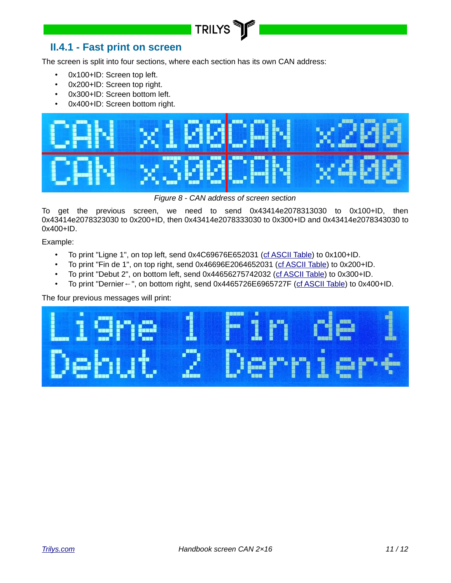# <span id="page-10-0"></span>**II.4.1 - Fast print on screen**

The screen is split into four sections, where each section has its own CAN address:

**TRILYS** 

- 0x100+ID: Screen top left.
- 0x200+ID: Screen top right.
- 0x300+ID: Screen bottom left.
- 0x400+ID: Screen bottom right.



*Figure 8 - CAN address of screen section*

To get the previous screen, we need to send 0x43414e2078313030 to 0x100+ID, then 0x43414e2078323030 to 0x200+ID, then 0x43414e2078333030 to 0x300+ID and 0x43414e2078343030 to 0x400+ID.

Example:

- To print "Ligne 1", on top left, send 0x4C69676E652031 [\(cf ASCII Table\)](#page-9-2) to 0x100+ID.
- To print "Fin de 1", on top right, send 0x46696E2064652031 [\(cf ASCII Table\)](#page-9-2) to 0x200+ID.
- To print "Debut 2", on bottom left, send 0x44656275742032 [\(cf ASCII Table\)](#page-9-2) to 0x300+ID.
- To print "Dernier←", on bottom right, send 0x4465726E6965727F [\(cf ASCII Table\)](#page-9-2) to 0x400+ID.

The four previous messages will print: